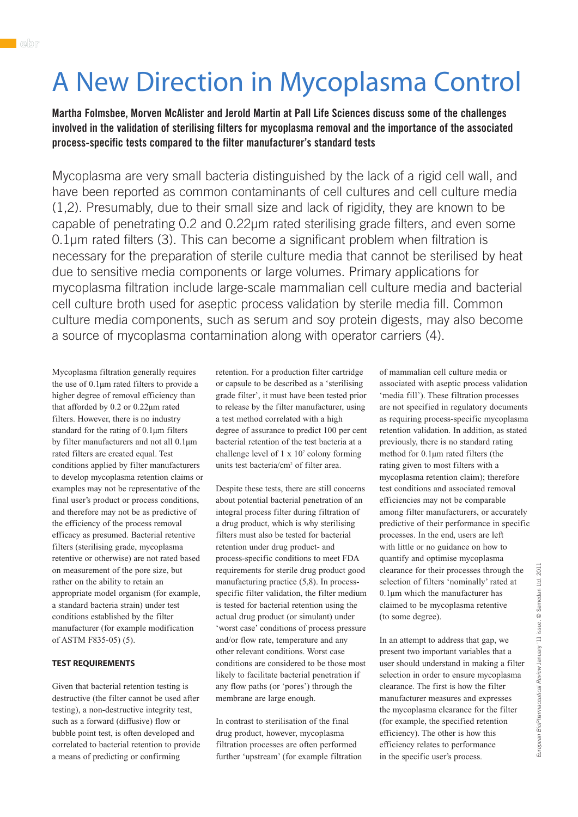# A New Direction in Mycoplasma Control

**Martha Folmsbee, Morven McAlister and Jerold Martin at Pall Life Sciences discuss some of the challenges involved in the validation of sterilising filters for mycoplasma removal and the importance of the associated process-specific tests compared to the filter manufacturer's standard tests**

Mycoplasma are very small bacteria distinguished by the lack of a rigid cell wall, and have been reported as common contaminants of cell cultures and cell culture media (1,2). Presumably, due to their small size and lack of rigidity, they are known to be capable of penetrating 0.2 and 0.22µm rated sterilising grade filters, and even some 0.1µm rated filters (3). This can become a significant problem when filtration is necessary for the preparation of sterile culture media that cannot be sterilised by heat due to sensitive media components or large volumes. Primary applications for mycoplasma filtration include large-scale mammalian cell culture media and bacterial cell culture broth used for aseptic process validation by sterile media fill. Common culture media components, such as serum and soy protein digests, may also become a source of mycoplasma contamination along with operator carriers (4).

Mycoplasma filtration generally requires the use of 0.1µm rated filters to provide a higher degree of removal efficiency than that afforded by 0.2 or 0.22µm rated filters. However, there is no industry standard for the rating of 0.1µm filters by filter manufacturers and not all 0.1µm rated filters are created equal. Test conditions applied by filter manufacturers to develop mycoplasma retention claims or examples may not be representative of the final user's product or process conditions, and therefore may not be as predictive of the efficiency of the process removal efficacy as presumed. Bacterial retentive filters (sterilising grade, mycoplasma retentive or otherwise) are not rated based on measurement of the pore size, but rather on the ability to retain an appropriate model organism (for example, a standard bacteria strain) under test conditions established by the filter manufacturer (for example modification of ASTM F835-05) (5).

### **TEST REQUIREMENTS**

Given that bacterial retention testing is destructive (the filter cannot be used after testing), a non-destructive integrity test, such as a forward (diffusive) flow or bubble point test, is often developed and correlated to bacterial retention to provide a means of predicting or confirming

retention. For a production filter cartridge or capsule to be described as a 'sterilising grade filter', it must have been tested prior to release by the filter manufacturer, using a test method correlated with a high degree of assurance to predict 100 per cent bacterial retention of the test bacteria at a challenge level of  $1 \times 10^7$  colony forming units test bacteria/cm2 of filter area.

Despite these tests, there are still concerns about potential bacterial penetration of an integral process filter during filtration of a drug product, which is why sterilising filters must also be tested for bacterial retention under drug product- and process-specific conditions to meet FDA requirements for sterile drug product good manufacturing practice (5,8). In processspecific filter validation, the filter medium is tested for bacterial retention using the actual drug product (or simulant) under 'worst case' conditions of process pressure and/or flow rate, temperature and any other relevant conditions. Worst case conditions are considered to be those most likely to facilitate bacterial penetration if any flow paths (or 'pores') through the membrane are large enough.

In contrast to sterilisation of the final drug product, however, mycoplasma filtration processes are often performed further 'upstream' (for example filtration of mammalian cell culture media or associated with aseptic process validation 'media fill'). These filtration processes are not specified in regulatory documents as requiring process-specific mycoplasma retention validation. In addition, as stated previously, there is no standard rating method for 0.1µm rated filters (the rating given to most filters with a mycoplasma retention claim); therefore test conditions and associated removal efficiencies may not be comparable among filter manufacturers, or accurately predictive of their performance in specific processes. In the end, users are left with little or no guidance on how to quantify and optimise mycoplasma clearance for their processes through the selection of filters 'nominally' rated at 0.1µm which the manufacturer has claimed to be mycoplasma retentive (to some degree).

In an attempt to address that gap, we present two important variables that a user should understand in making a filter selection in order to ensure mycoplasma clearance. The first is how the filter manufacturer measures and expresses the mycoplasma clearance for the filter (for example, the specified retention efficiency). The other is how this efficiency relates to performance in the specific user's process.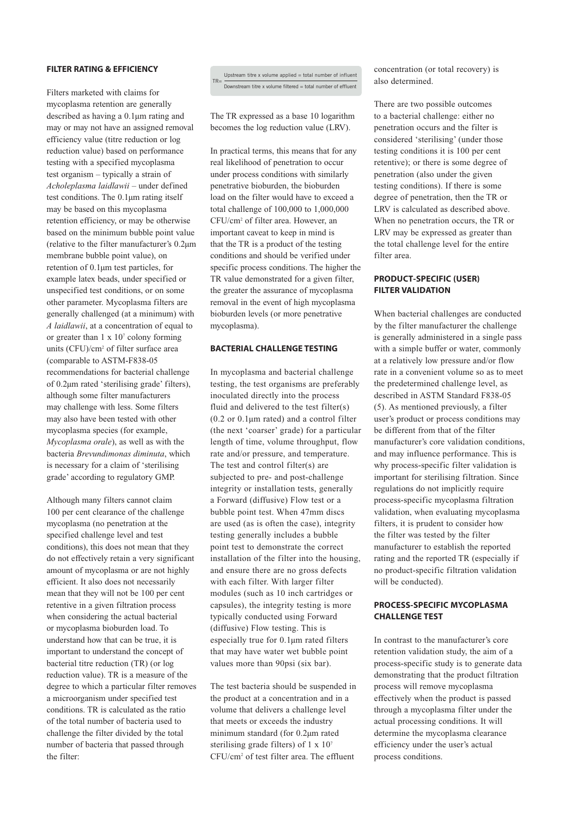## **FILTER RATING & EFFICIENCY**

Filters marketed with claims for mycoplasma retention are generally described as having a 0.1µm rating and may or may not have an assigned removal efficiency value (titre reduction or log reduction value) based on performance testing with a specified mycoplasma test organism – typically a strain of *Acholeplasma laidlawii* – under defined test conditions. The 0.1µm rating itself may be based on this mycoplasma retention efficiency, or may be otherwise based on the minimum bubble point value (relative to the filter manufacturer's 0.2µm membrane bubble point value), on retention of 0.1µm test particles, for example latex beads, under specified or unspecified test conditions, or on some other parameter. Mycoplasma filters are generally challenged (at a minimum) with *A laidlawii*, at a concentration of equal to or greater than  $1 \times 10^7$  colony forming units (CFU)/cm2 of filter surface area (comparable to ASTM-F838-05 recommendations for bacterial challenge of 0.2µm rated 'sterilising grade' filters), although some filter manufacturers may challenge with less. Some filters may also have been tested with other mycoplasma species (for example, *Mycoplasma orale*), as well as with the bacteria *Brevundimonas diminuta*, which is necessary for a claim of 'sterilising grade' according to regulatory GMP.

Although many filters cannot claim 100 per cent clearance of the challenge mycoplasma (no penetration at the specified challenge level and test conditions), this does not mean that they do not effectively retain a very significant amount of mycoplasma or are not highly efficient. It also does not necessarily mean that they will not be 100 per cent retentive in a given filtration process when considering the actual bacterial or mycoplasma bioburden load. To understand how that can be true, it is important to understand the concept of bacterial titre reduction (TR) (or log reduction value). TR is a measure of the degree to which a particular filter removes a microorganism under specified test conditions. TR is calculated as the ratio of the total number of bacteria used to challenge the filter divided by the total number of bacteria that passed through the filter:

Upstream titre x volume applied = total number of influent TR= Downstream titre x volume filtered = total number of effluent

The TR expressed as a base 10 logarithm becomes the log reduction value (LRV).

In practical terms, this means that for any real likelihood of penetration to occur under process conditions with similarly penetrative bioburden, the bioburden load on the filter would have to exceed a total challenge of 100,000 to 1,000,000 CFU/cm2 of filter area. However, an important caveat to keep in mind is that the TR is a product of the testing conditions and should be verified under specific process conditions. The higher the TR value demonstrated for a given filter, the greater the assurance of mycoplasma removal in the event of high mycoplasma bioburden levels (or more penetrative mycoplasma).

## **BACTERIAL CHALLENGE TESTING**

In mycoplasma and bacterial challenge testing, the test organisms are preferably inoculated directly into the process fluid and delivered to the test filter(s)  $(0.2 \text{ or } 0.1 \mu \text{m} \text{ rated})$  and a control filter (the next 'coarser' grade) for a particular length of time, volume throughput, flow rate and/or pressure, and temperature. The test and control filter(s) are subjected to pre- and post-challenge integrity or installation tests, generally a Forward (diffusive) Flow test or a bubble point test. When 47mm discs are used (as is often the case), integrity testing generally includes a bubble point test to demonstrate the correct installation of the filter into the housing, and ensure there are no gross defects with each filter. With larger filter modules (such as 10 inch cartridges or capsules), the integrity testing is more typically conducted using Forward (diffusive) Flow testing. This is especially true for 0.1µm rated filters that may have water wet bubble point values more than 90psi (six bar).

The test bacteria should be suspended in the product at a concentration and in a volume that delivers a challenge level that meets or exceeds the industry minimum standard (for 0.2µm rated sterilising grade filters) of 1 x 107 CFU/cm2 of test filter area. The effluent

concentration (or total recovery) is also determined.

There are two possible outcomes to a bacterial challenge: either no penetration occurs and the filter is considered 'sterilising' (under those testing conditions it is 100 per cent retentive); or there is some degree of penetration (also under the given testing conditions). If there is some degree of penetration, then the TR or LRV is calculated as described above. When no penetration occurs, the TR or LRV may be expressed as greater than the total challenge level for the entire filter area.

#### **PRODUCT-SPECIFIC (USER) FILTER VALIDATION**

When bacterial challenges are conducted by the filter manufacturer the challenge is generally administered in a single pass with a simple buffer or water, commonly at a relatively low pressure and/or flow rate in a convenient volume so as to meet the predetermined challenge level, as described in ASTM Standard F838-05 (5). As mentioned previously, a filter user's product or process conditions may be different from that of the filter manufacturer's core validation conditions, and may influence performance. This is why process-specific filter validation is important for sterilising filtration. Since regulations do not implicitly require process-specific mycoplasma filtration validation, when evaluating mycoplasma filters, it is prudent to consider how the filter was tested by the filter manufacturer to establish the reported rating and the reported TR (especially if no product-specific filtration validation will be conducted).

# **PROCESS-SPECIFIC MYCOPLASMA CHALLENGE TEST**

In contrast to the manufacturer's core retention validation study, the aim of a process-specific study is to generate data demonstrating that the product filtration process will remove mycoplasma effectively when the product is passed through a mycoplasma filter under the actual processing conditions. It will determine the mycoplasma clearance efficiency under the user's actual process conditions.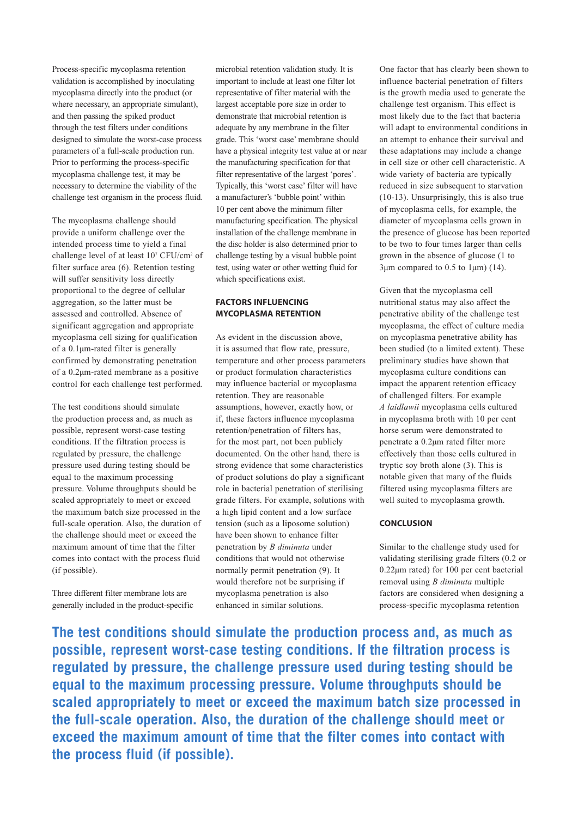Process-specific mycoplasma retention validation is accomplished by inoculating mycoplasma directly into the product (or where necessary, an appropriate simulant). and then passing the spiked product through the test filters under conditions designed to simulate the worst-case process parameters of a full-scale production run. Prior to performing the process-specific mycoplasma challenge test, it may be necessary to determine the viability of the challenge test organism in the process fluid.

The mycoplasma challenge should provide a uniform challenge over the intended process time to yield a final challenge level of at least 107 CFU/cm<sup>2</sup> of filter surface area (6). Retention testing will suffer sensitivity loss directly proportional to the degree of cellular aggregation, so the latter must be assessed and controlled. Absence of significant aggregation and appropriate mycoplasma cell sizing for qualification of a 0.1µm-rated filter is generally confirmed by demonstrating penetration of a 0.2µm-rated membrane as a positive control for each challenge test performed.

The test conditions should simulate the production process and, as much as possible, represent worst-case testing conditions. If the filtration process is regulated by pressure, the challenge pressure used during testing should be equal to the maximum processing pressure. Volume throughputs should be scaled appropriately to meet or exceed the maximum batch size processed in the full-scale operation. Also, the duration of the challenge should meet or exceed the maximum amount of time that the filter comes into contact with the process fluid (if possible).

Three different filter membrane lots are generally included in the product-specific microbial retention validation study. It is important to include at least one filter lot representative of filter material with the largest acceptable pore size in order to demonstrate that microbial retention is adequate by any membrane in the filter grade. This 'worst case' membrane should have a physical integrity test value at or near the manufacturing specification for that filter representative of the largest 'pores'. Typically, this 'worst case' filter will have a manufacturer's 'bubble point' within 10 per cent above the minimum filter manufacturing specification. The physical installation of the challenge membrane in the disc holder is also determined prior to challenge testing by a visual bubble point test, using water or other wetting fluid for which specifications exist.

# **FACTORS INFLUENCING MYCOPLASMA RETENTION**

As evident in the discussion above, it is assumed that flow rate, pressure, temperature and other process parameters or product formulation characteristics may influence bacterial or mycoplasma retention. They are reasonable assumptions, however, exactly how, or if, these factors influence mycoplasma retention/penetration of filters has, for the most part, not been publicly documented. On the other hand, there is strong evidence that some characteristics of product solutions do play a significant role in bacterial penetration of sterilising grade filters. For example, solutions with a high lipid content and a low surface tension (such as a liposome solution) have been shown to enhance filter penetration by *B diminuta* under conditions that would not otherwise normally permit penetration (9). It would therefore not be surprising if mycoplasma penetration is also enhanced in similar solutions.

One factor that has clearly been shown to influence bacterial penetration of filters is the growth media used to generate the challenge test organism. This effect is most likely due to the fact that bacteria will adapt to environmental conditions in an attempt to enhance their survival and these adaptations may include a change in cell size or other cell characteristic. A wide variety of bacteria are typically reduced in size subsequent to starvation (10-13). Unsurprisingly, this is also true of mycoplasma cells, for example, the diameter of mycoplasma cells grown in the presence of glucose has been reported to be two to four times larger than cells grown in the absence of glucose (1 to 3um compared to 0.5 to 1 $\mu$ m) (14).

Given that the mycoplasma cell nutritional status may also affect the penetrative ability of the challenge test mycoplasma, the effect of culture media on mycoplasma penetrative ability has been studied (to a limited extent). These preliminary studies have shown that mycoplasma culture conditions can impact the apparent retention efficacy of challenged filters. For example *A laidlawii* mycoplasma cells cultured in mycoplasma broth with 10 per cent horse serum were demonstrated to penetrate a 0.2µm rated filter more effectively than those cells cultured in tryptic soy broth alone (3). This is notable given that many of the fluids filtered using mycoplasma filters are well suited to mycoplasma growth.

# **CONCLUSION**

Similar to the challenge study used for validating sterilising grade filters (0.2 or 0.22µm rated) for 100 per cent bacterial removal using *B diminuta* multiple factors are considered when designing a process-specific mycoplasma retention

**The test conditions should simulate the production process and, as much as possible, represent worst-case testing conditions. If the filtration process is regulated by pressure, the challenge pressure used during testing should be equal to the maximum processing pressure. Volume throughputs should be scaled appropriately to meet or exceed the maximum batch size processed in the full-scale operation. Also, the duration of the challenge should meet or exceed the maximum amount of time that the filter comes into contact with the process fluid (if possible).**